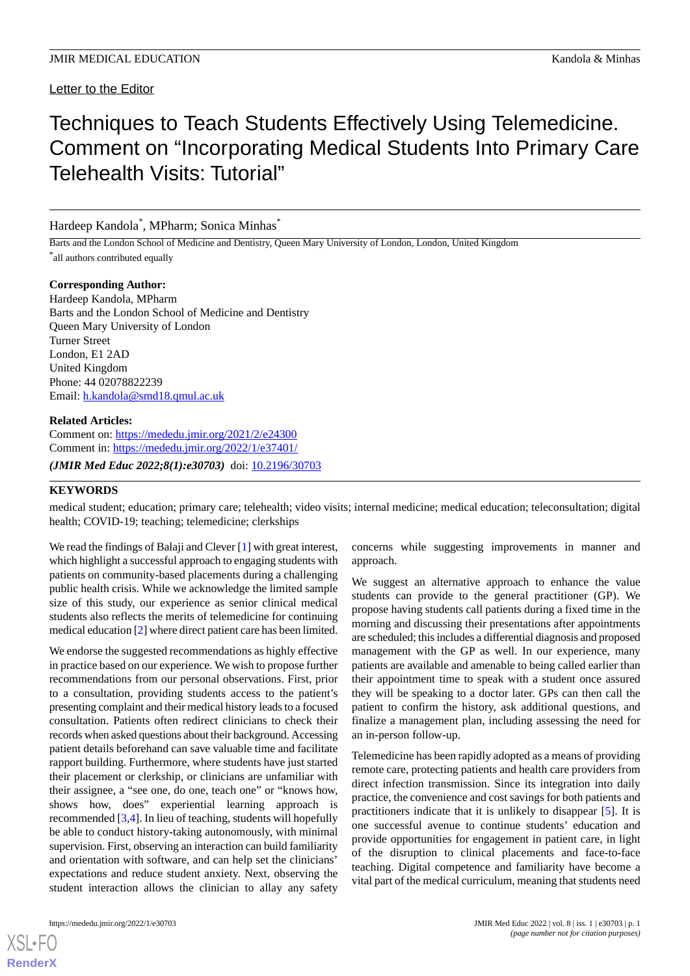# Techniques to Teach Students Effectively Using Telemedicine. Comment on "Incorporating Medical Students Into Primary Care Telehealth Visits: Tutorial"

Hardeep Kandola\* , MPharm; Sonica Minhas\*

Barts and the London School of Medicine and Dentistry, Queen Mary University of London, London, United Kingdom \* all authors contributed equally

## **Corresponding Author:**

Hardeep Kandola, MPharm Barts and the London School of Medicine and Dentistry Queen Mary University of London Turner Street London, E1 2AD United Kingdom Phone: 44 02078822239 Email: [h.kandola@smd18.qmul.ac.uk](mailto:h.kandola@smd18.qmul.ac.uk)

## **Related Articles:**

Comment on: <https://mededu.jmir.org/2021/2/e24300> Comment in: <https://mededu.jmir.org/2022/1/e37401/>

*(JMIR Med Educ 2022;8(1):e30703)* doi: [10.2196/30703](http://dx.doi.org/10.2196/30703)

# **KEYWORDS**

medical student; education; primary care; telehealth; video visits; internal medicine; medical education; teleconsultation; digital health; COVID-19; teaching; telemedicine; clerkships

We read the findings of Balaji and Clever [\[1](#page-1-0)] with great interest, which highlight a successful approach to engaging students with patients on community-based placements during a challenging public health crisis. While we acknowledge the limited sample size of this study, our experience as senior clinical medical students also reflects the merits of telemedicine for continuing medical education [[2\]](#page-1-1) where direct patient care has been limited.

We endorse the suggested recommendations as highly effective in practice based on our experience. We wish to propose further recommendations from our personal observations. First, prior to a consultation, providing students access to the patient's presenting complaint and their medical history leads to a focused consultation. Patients often redirect clinicians to check their records when asked questions about their background. Accessing patient details beforehand can save valuable time and facilitate rapport building. Furthermore, where students have just started their placement or clerkship, or clinicians are unfamiliar with their assignee, a "see one, do one, teach one" or "knows how, shows how, does" experiential learning approach is recommended [\[3,](#page-1-2)[4](#page-1-3)]. In lieu of teaching, students will hopefully be able to conduct history-taking autonomously, with minimal supervision. First, observing an interaction can build familiarity and orientation with software, and can help set the clinicians' expectations and reduce student anxiety. Next, observing the student interaction allows the clinician to allay any safety

[XSL](http://www.w3.org/Style/XSL)•FO **[RenderX](http://www.renderx.com/)**

concerns while suggesting improvements in manner and approach.

We suggest an alternative approach to enhance the value students can provide to the general practitioner (GP). We propose having students call patients during a fixed time in the morning and discussing their presentations after appointments are scheduled; this includes a differential diagnosis and proposed management with the GP as well. In our experience, many patients are available and amenable to being called earlier than their appointment time to speak with a student once assured they will be speaking to a doctor later. GPs can then call the patient to confirm the history, ask additional questions, and finalize a management plan, including assessing the need for an in-person follow-up.

Telemedicine has been rapidly adopted as a means of providing remote care, protecting patients and health care providers from direct infection transmission. Since its integration into daily practice, the convenience and cost savings for both patients and practitioners indicate that it is unlikely to disappear [\[5](#page-1-4)]. It is one successful avenue to continue students' education and provide opportunities for engagement in patient care, in light of the disruption to clinical placements and face-to-face teaching. Digital competence and familiarity have become a vital part of the medical curriculum, meaning that students need